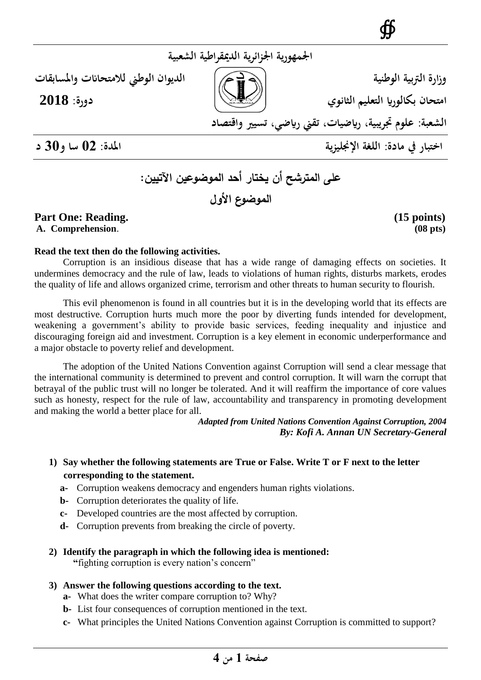**وزارة الرتبية الوطنية الديوان الوطين لالمتحاانت واملسابقات**

**امتحان بكالوراي التعليم الثانوي دورة: 2018**

∯

**الشعبة: علوم جتريبية، رايضيات، تقين رايضي، تسيري واقتصاد**

**اختبار يف مادة: اللغة اإلجنليزية املدة: 20 سا و02 د**

# **على المترشح أن يختار أحد الموضوعين اآلتيين: الموضوع األول**

**اجلمهورية اجلزائرية الدميقراطية الشعبية**

## Part One: Reading. (15 points)

**A. Comprehension**. **(08 pts)**

### **Read the text then do the following activities.**

Corruption is an insidious disease that has a wide range of damaging effects on societies. It undermines democracy and the rule of law, leads to violations of human rights, disturbs markets, erodes the quality of life and allows organized crime, terrorism and other threats to human security to flourish.

This evil phenomenon is found in all countries but it is in the developing world that its effects are most destructive. Corruption hurts much more the poor by diverting funds intended for development, weakening a government's ability to provide basic services, feeding inequality and injustice and discouraging foreign aid and investment. Corruption is a key element in economic underperformance and a major obstacle to poverty relief and development.

The adoption of the United Nations Convention against Corruption will send a clear message that the international community is determined to prevent and control corruption. It will warn the corrupt that betrayal of the public trust will no longer be tolerated. And it will reaffirm the importance of core values such as honesty, respect for the rule of law, accountability and transparency in promoting development and making the world a better place for all.

 *Adapted from United Nations Convention Against Corruption, 2004*  *By: Kofi A. Annan UN Secretary-General*

### **1) Say whether the following statements are True or False. Write T or F next to the letter corresponding to the statement.**

- **a-** Corruption weakens democracy and engenders human rights violations.
- **b-** Corruption deteriorates the quality of life.
- **c-** Developed countries are the most affected by corruption.
- **d-** Corruption prevents from breaking the circle of poverty.
- **2) Identify the paragraph in which the following idea is mentioned: "**fighting corruption is every nation's concern"
- **3) Answer the following questions according to the text.** 
	- **a-** What does the writer compare corruption to? Why?
	- **b-** List four consequences of corruption mentioned in the text.
	- **c-** What principles the United Nations Convention against Corruption is committed to support?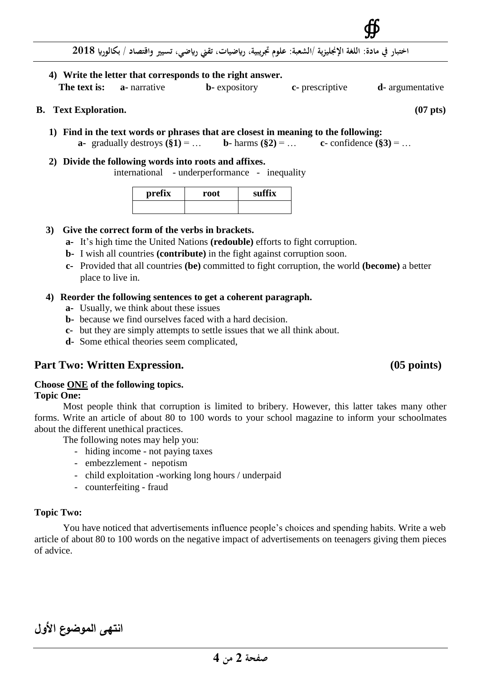

**اختبار يف مادة: اللغة اإلجنليزية /الشعبة: علوم جتريبية، رايضيات، تقين رايضي، تسيري واقتصاد / بكالوراي 8102**

**4) Write the letter that corresponds to the right answer. The text is: a**- narrative **b**- expository **c**- prescriptive **d**- argumentative

#### **B. Text Exploration. (07 pts)**

- **1) Find in the text words or phrases that are closest in meaning to the following: a-** gradually destroys  $(\S 1) = ...$  **b**- harms  $(\S 2) = ...$  **c**- confidence  $(\S 3) = ...$
- **2) Divide the following words into roots and affixes.** international - underperformance - inequality

| prefix | root | suffix |  |
|--------|------|--------|--|
|        |      |        |  |

#### **3) Give the correct form of the verbs in brackets.**

- **a-** It's high time the United Nations **(redouble)** efforts to fight corruption.
- **b-** I wish all countries **(contribute)** in the fight against corruption soon.
- **c-** Provided that all countries **(be)** committed to fight corruption, the world **(become)** a better place to live in.

#### **4) Reorder the following sentences to get a coherent paragraph.**

- **a-** Usually, we think about these issues
- **b-** because we find ourselves faced with a hard decision.
- **c-** but they are simply attempts to settle issues that we all think about.
- **d-** Some ethical theories seem complicated,

### Part Two: Written Expression. (05 points)

### **Choose ONE of the following topics.**

#### **Topic One:**

Most people think that corruption is limited to bribery. However, this latter takes many other forms. Write an article of about 80 to 100 words to your school magazine to inform your schoolmates about the different unethical practices.

The following notes may help you:

- hiding income not paying taxes
- embezzlement nepotism
- child exploitation -working long hours / underpaid
- counterfeiting fraud

#### **Topic Two:**

You have noticed that advertisements influence people's choices and spending habits. Write a web article of about 80 to 100 words on the negative impact of advertisements on teenagers giving them pieces of advice.

**انتهى الموضوع األول**

∯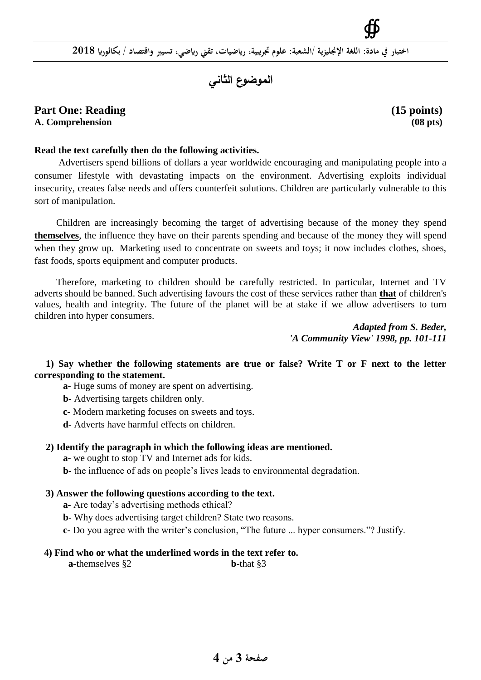# **الموضوع الثاني**

#### Part One: Reading (15 **points)** (15 **points**) **A. Comprehension (08 pts)**

∯

#### **Read the text carefully then do the following activities.**

 Advertisers spend billions of dollars a year worldwide encouraging and manipulating people into a consumer lifestyle with devastating impacts on the environment. Advertising exploits individual insecurity, creates false needs and offers counterfeit solutions. Children are particularly vulnerable to this sort of manipulation.

 Children are increasingly becoming the target of advertising because of the money they spend **themselves**, the influence they have on their parents spending and because of the money they will spend when they grow up. Marketing used to concentrate on sweets and toys; it now includes clothes, shoes, fast foods, sports equipment and computer products.

 Therefore, marketing to children should be carefully restricted. In particular, Internet and TV adverts should be banned. Such advertising favours the cost of these services rather than **that** of children's values, health and integrity. The future of the planet will be at stake if we allow advertisers to turn children into hyper consumers.

> *Adapted from S. Beder, 'A Community View' 1998, pp. 101-111*

**1) Say whether the following statements are true or false? Write T or F next to the letter corresponding to the statement.**

**a-** Huge sums of money are spent on advertising.

**b-** Advertising targets children only.

**c-** Modern marketing focuses on sweets and toys.

**d-** Adverts have harmful effects on children.

#### **2) Identify the paragraph in which the following ideas are mentioned.**

**a-** we ought to stop TV and Internet ads for kids.

**b-** the influence of ads on people's lives leads to environmental degradation.

#### **3) Answer the following questions according to the text.**

**a-** Are today's advertising methods ethical?

**b-** Why does advertising target children? State two reasons.

**c-** Do you agree with the writer's conclusion, "The future ... hyper consumers."? Justify.

#### **4) Find who or what the underlined words in the text refer to.**

 **a-**themselves §2 **b-**that §3